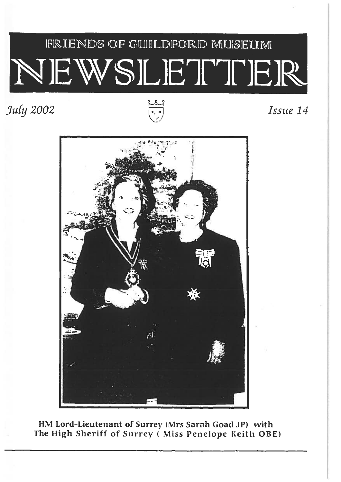# FRIENDS OF GUILDFORD MUSELIM VEWSLETTER

### $July 2002$   $\qquad \qquad$  Issue 14





HM Lord-Lieutenant of Surrey (Mrs Sarah Goad JP) with The High Sheriff of Surrey ( Miss Penelope Keith OBE)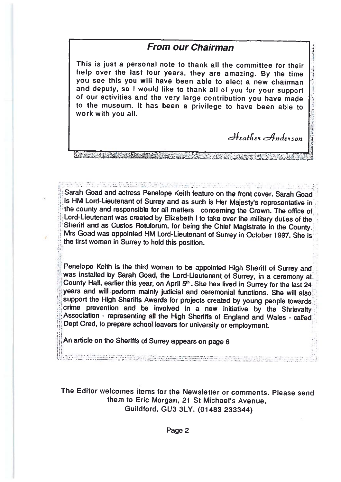#### From our Chairman

This is just <sup>a</sup> personal note to thank all the committee for their help over the last four years, they are amazing. By the time you see this you will have been able to elect <sup>a</sup> new chairmanand deputy, so I would like to thank all of you for your support<br>of our activities and the very large contribution you have made f our activities and the very large contribution you have made to the museum. It has been a privilege to have been able to work with you all.

Iattv 4ndE'ion

A CONTRACTOR CONTRACTO A CONTRACTO DE CONTRACTO

Sarah Goad and actress Penelope Keith feature on the front cover. Sarah Goadis HM Lord-Lieutenant of Surrey and as such is Her Majesty's representative i is HM Lord-Lieutenant of Surrey and as such is Her Majesty's representative in<br>the county and responsible for all matters concerning the Crown. The office of Lord-Lieutenant was createdLord-Lieutenant was created by Elizabeth I to take over the military duties of the<br>Sheriff and as Custos Rotulorum, for being the Chief Magistrate in the County.<br>Mrs Goad was appointed HM Lord-Lieutenant of Surrey in Octob Mrs Goad was appointed HM Lord-Lieutenant of Surrey in October 1997. She is<br>the first woman in Surrey to hold this nosition e first woman in Surrey to hold this position.

Penelope Keith is the third woman to be appointed High Sheriff of Surrey and was installedCounty Hall, earlier this year, on April 5<sup>th</sup>. She has lived in Surrey for the last 24 years and will perform mainly judicial and ceremonial functions. She will alsosupport the High Sheriffs Awards for projects created by young people towards<br>crime prevention and be involved in a new initiative by the Shriavelly prevention and be involved in <sup>a</sup> new initiativecrime prevention and be involved in a new initiative by the Shrievalty<br>Association - representing all the High Sheriffs of England and Wales - called Dept Cred, to prepare school leavers for university or employment.

An article on the Sheriffs of Surrey appears on page <sup>6</sup>

and the contract of the company of the contract of the contract of the contract of the contract of the contract of the contract of the contract of the contract of the contract of the contract of the contract of the contrac

The Editor welcomes items for the Newsletter or comments. Please sendthem to Eric Morgan, 21 St Michael's Avenue, Guildford, GU3 3LY. (01483 233344)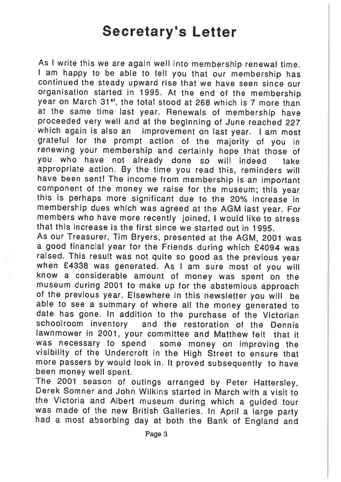# Secretary's Letter

As <sup>I</sup> write this we are again well into membership renewal time. <sup>I</sup> am happy to be able to tell you that our membership has continued the steady upward rise that we have seen since our organisation started in 1995. At the end of the membership vear on March 31<sup>st</sup>, the total stood at 268 which is 7 more than at the same time last year. Renewals of membership have proceeded very well and at the beginning of June reached <sup>227</sup> which again is also an improvement on last year. I am most grateful for the prompt action of the majority of you in renewing your membership and certainly hope that those of you who have not already done so will indeed take appropriate action. By the time you read this, reminders will have been sent! The income from membership is an important component of the money we raise for the museum; this year this is perhaps more significant due to the 20% increase in membership dues which was agreed at the AGM last year. For members who have more recently joined, <sup>I</sup> would like to stress that this increase is the first since we started out in 1995.

As our Treasurer, Tim Bryers, presented at the AGM, <sup>2001</sup> was a good financial year for the Friends during which £4094 was raised. This result was not quite so good as the previous year when £4338 was generated. As I am sure most of you will know <sup>a</sup> considerable amount of money was spent on the museum during <sup>2001</sup> to make up for the abstemious approach of the previous year. Elsewhere in this newsletter you will be able to see <sup>a</sup> summary of where all the money generated to date has gone. In addition to the purchase of the Victorian schoolroom inventory and the restoration of the Dennis lawnmower in 2001, your committee and Matthew felt that it was necessary to spend some money on improving the visibility of the Undercrott in the High Street to ensure that more passers by would look in. It proved subsequently to have been money well spent.

The <sup>2001</sup> season of outings arranged by Peter Hattersley, Derek Somner and John Wilkins started in March with <sup>a</sup> visit to the Victoria and Albert museum during which <sup>a</sup> guided tour had a most absorbing day at both the Bank of England and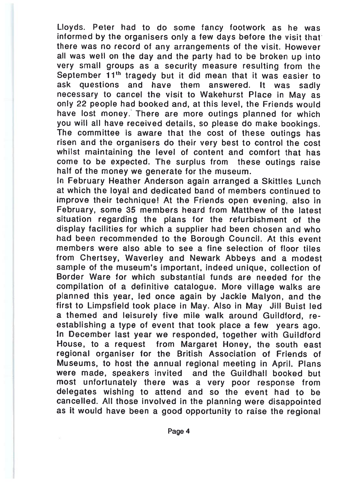Lloyds. Peter had to do some fancy footwork as he was informed by the organisers only <sup>a</sup> few days before the visit that there was no record of any arrangements of the visit. However all was well on the day and the party had to be broken up into very small groups as <sup>a</sup> security measure resulting from the September  $11<sup>th</sup>$  tragedy but it did mean that it was easier to ask questions and have them answered. It was sadly necessary to cancel the visit to Wakehurst Place in May as only 22 people had booked and, at this level, the Friends would have lost money. There are more outings planned for which you will all have received details, so <sup>p</sup>lease do make bookings. The committee is aware that the cost of these outings has risen and the organisers do their very best to control the cost whilst maintaining the level of content and comfort that has come to be expected. The surplus from these outings raise half of the money we generate for the museum.

In February Heather Anderson again arranged <sup>a</sup> Skittles Lunch at which the loyal and dedicated band of members continued to improve their technique! At the Friends open evening, also in February, some 35 members heard from Matthew of the latest situation regarding the plans for the refurbishment of the display facilities for which <sup>a</sup> supplier had been chosen and who had been recommended to the Borough Council. At this event members were also able to see <sup>a</sup> fine selection of floor tilesfrom Chertsey, Waverley and Newark Abbeys and a modest sample of the museum's important, indeed unique, collection of Border Ware for which substantial funds are needed for the compilation of <sup>a</sup> definitive catalogue. More village walks are <sup>p</sup>lanned this year, led once again by Jackie Malyon, and the first to Limpsfield took place in May. Also in May Jill Buist led a themed and leisurely five mile walk around Guildford, re establishing <sup>a</sup> type of event that took <sup>p</sup>lace <sup>a</sup> few years ago. In December last year we responded, together with Guildford House, to <sup>a</sup> reques<sup>t</sup> from Margaret Honey, the south east regional organiser for the British Association of Friends of Museums, to host the annual regional meeting in April. Plans were made, speakers invited and the Guildhall booked but most unfortunately there was <sup>a</sup> very poor response from delegates wishing to attend and so the event had to be cancelled. All those involved in the planning were disappointed as it would have been a good opportunity to raise the regional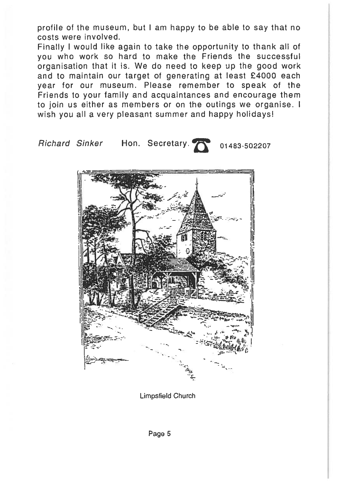profile of the museum, but <sup>I</sup> am happy to be able to say that no costs were involved.

Finally <sup>I</sup> would like again to take the opportunity to thank all of you who work so hard to make the Friends the successful organisation that it is. We do need to keep up the good work and to maintain our target of generating at least £4000 each year for our museum. Please remember to speak of the Friends to your family and acquaintances and encourage them to join us either as members or on the outings we organise. I wish you all <sup>a</sup> very pleasant summer and happy holidays!

Richard Sinker Hon. Secretary. **The part of the Secret** 

Limpsfield Church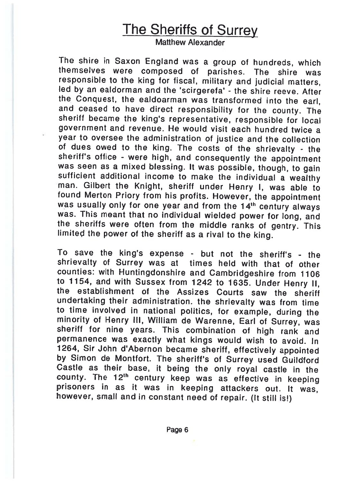# The Sheriffs of Surrey

Matthew Alexander

The shire in Saxon England was <sup>a</sup> group of hundreds, which themselves were composed of parishes. The shire was responsible to the king for fiscal, military and judicial matters, led by an ealdorman and the 'scirgerefa' - the shire reeve. After the Conquest, the ealdoarman was transformed into thethe Conquest, the eardoarman was transformed into the earl<br>and ceased to have direct responsibility for the county. The and ceased to have direct responsibility for the county. The<br>sheriff became the king's representative, responsible for local government and revenue. He would visit each hundred twice a year to oversee the administration of justice and the collection of dues owed to theof dues owed to the king. The costs of the shrievalty - the<br>sheriff's office - were high, and consequently the appointment was seen as a mixedwas seen as a mixed blessing. It was possible, though, to gain<br>sufficient additional income to make the individual a wealthy man. Gilbert the Knight, sheriff under Henry I, was able to<br>found Merton Priory from his profits. However, the appointment Merton Priory from his profits. However, the appointment was usually only for one year and from the 14<sup>th</sup> century always was. This meant that no individual wieldedwas. This meant that no individual wielded power for long, and<br>the sheriffs were often from the middle ranks of gentry. This the sheriffs were often from the middle ranks of gentry. This<br>limited the power of the sheriff as a rival to the king.

To save the king's expense - but not the sheriff's - the shrievalty of Surrey was at times held with that of other counties: with Huntingdonshire and Cambridgeshire from <sup>1106</sup> to 1154, and with Sussex from 1242 to 1635. Underto F154, and with Sussex from 1242 to 1635. Under Henry II,<br>the establishment of the Assizes Courts saw the sheriff undertaking their administration, the shrievalty was from time to time involved in nationalminority of Henry III, William de Warenne, Earl of Surrey, was if for nine years. This combination of high rank and permanence was exactly what kings would wish to avoid. In 1264, Sir John d'Abernon becameby Simon de Montfort. The sheriff's of Surrey used Guildford Castle as their base, it being the only roya<sup>l</sup> castle in the county. The 12<sup>th</sup> century keep was as effective in keeping prisoners in as it was in keeping attackers out. It was, however, small and in constant need of repair. (It still is!)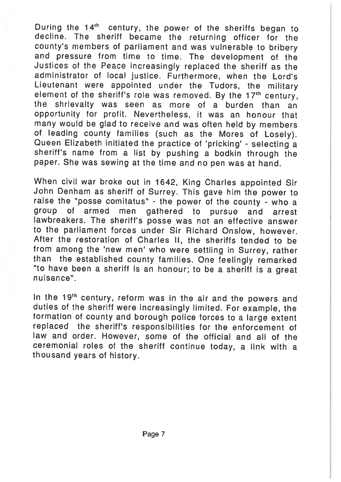During the 14<sup>th</sup> century, the power of the sheriffs began to decline. The sheriff became the returning officer for the county's members of parliament and was vulnerable to bribery and pressure from time to time. The development of the Justices of the Peace increasingly replaced the sheriff as the administrator of local justice. Furthermore, when the Lord's Lieutenant were appointed under the Tudors, the military element of the sheriff's role was removed. By the  $17<sup>th</sup>$  century, the shrievalty was seen as more of <sup>a</sup> burden than an opportunity for profit. Nevertheless, it was an honour that many would be <sup>g</sup>lad to receive and was often held by members of leading county families (such as the Mores of Losely). Queen Elizabeth initiated the practice of 'pricking' - selecting <sup>a</sup> sheriff's name from <sup>a</sup> list by pushing <sup>a</sup> bodkin through the paper. She was sewing at the time and no pen was at hand.

When civil war broke out in 1642, King Charles appointed Sir John Denham as sheriff of Surrey. This gave him the power to raise the 'posse comitatus" - the power of the county - who <sup>a</sup> group of armed men gathered to pursue and arrest lawbreakers. The sheriff's posse was not an effective answer to the parliament forces under Sir Richard Onslow, however. After the restoration of Charles II, the sheriffs tended to be from among the 'new men' who were settling in Surrey, rather than the established county families. One feelingly remarked "to have been <sup>a</sup> sheriff is an honour; to be <sup>a</sup> sheriff is <sup>a</sup> great nuisance".

In the 19<sup>th</sup> century, reform was in the air and the powers and duties of the sheriff were increasingly limited. For example, the formation of county and borough police forces to <sup>a</sup> large extent replaced the sheriff's responsibilities for the enforcement of law and order. However, some of the official and all of the ceremonial roles of the sheriff continue today, <sup>a</sup> link with <sup>a</sup> thousand years of history.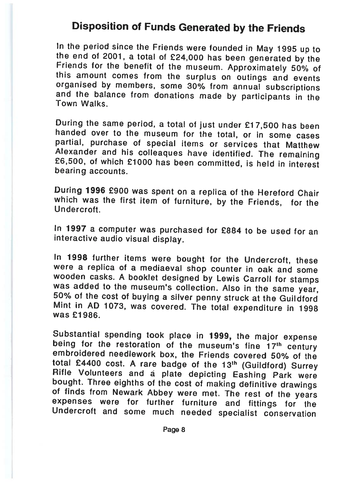### Disposition of Funds Generated by the Friends

In the period since the Friends were founded inm the period since the Friends were founded in May 1995 up to<br>the end of 2001, a total of £24,000 has been generated by the<br>Friends for the benefit of the museum, Approximately 50%, o s for the benefit of the museum Friends for the benefit of the museum. Approximately 50% of<br>this amount comes from the surplus on outings and events this amount comes from the surplus on outings and events<br>organised by members, some 30% from annual subscriptions organised by members, some 30% from annual subscriptions<br>and the balance from donations made by participants in the<br>Town Walks. Town Walks.

During the same period, <sup>a</sup> total of just under £1 7,500 has been handed over to the museum for the total, or in some cases partial, purchase of special items or services that Matthew Alexander and hisAlexander and his colleaques have identified. The remaining<br>£6,500, of which £1000 has been committed, is held in interest<br>bearing accounts.

During <sup>1996</sup> £900 was spent on <sup>a</sup> replica of the Hereford Chair which was the first item of furniture, by the Friends, tot the **Undercroft** 

In 1997 a computer was purchased for £884 to be used for an interactive audio visual display.

In 1998 further items were bought for the Undercroft, these were a replica of <sup>a</sup> mediaeval shop counter in oak and some wooden casks. A booklet designed by Lewis Carroll for stamps was added to the museum's collection. Also in the samewas added to the maseum's conection. Also in the same year<br>50% of the cost of buying a silver penny struck at the Guildford<br>Mint in AD 1073, was covered. The total exponditure in 1999 in AD 1073, was covered. The total expenditure in 1998 was £1986.

Substantial spending took place in 1999, the major expense<br>being for the restoration of the museum's fine 17th century e museum's fine 1 being for the restoration of the museum's fine 17th century<br>embroidered needlework box, the Friends covered 50% of the total £4400 cost. A rare badge of the 13<sup>th</sup> (Guildford) Surrey<br>Rifle Volunteers, and a plate depicting Eaching Berk were e Volunteers and a bought. Three eighths of the cost of making definitive drawings finds from Newark Abbey were met. The rest of the years expenses were for further furniture and expenses were for further furniture and fittings for the<br>Undercroft and some much needed specialist conservation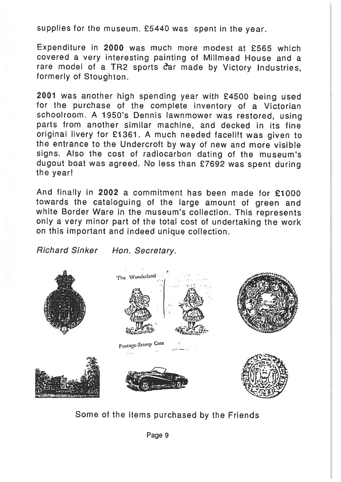supplies for the museum. £5440 was spen<sup>t</sup> in the year.

Expenditure in 2000 was much more modest at £565 which covered <sup>a</sup> very interesting painting of Milimead House and <sup>a</sup> rare model of a TR2 sports car made by Victory Industries, formerly of Stoughton.

<sup>2001</sup> was another high spending year with £4500 being used for the purchase of the complete inventory of <sup>a</sup> Victorian schoolroom. <sup>A</sup> 1950's Dennis lawnmower was restored, using parts from another similar machine, and decked in its fine original livery for £1 361. <sup>A</sup> much needed facelift was <sup>g</sup>iven to the entrance to the Undercroft by way of new and more visible signs. Also the cost of radiocarbon dating of the museum's dugout boat was agreed. No less than £7692 was spen<sup>t</sup> during the year!

And finally in 2002 <sup>a</sup> commitment has been made for £1000 towards the cataloguing of the large amount of green and white Border Ware in the museum's collection. This represents only <sup>a</sup> very minor par<sup>t</sup> of the total cost of undertaking the work on this important and indeed unique collection.

Richard Sinker - Hon. Secretary.



Some of the items purchased by the Friends

Page <sup>9</sup>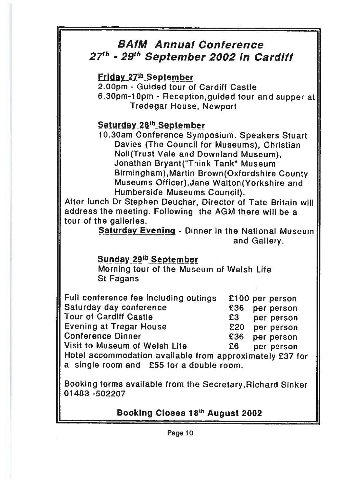### BAfM Annual Conference27'<sup>h</sup> - 29'<sup>h</sup> September 2002 in Cardiff

Friday 27<sup>th</sup> September

2.OOpm - Guided tour of Cardiff Castle

6.3Opm-lOpm - Reception,guided tour and supper at Tredegar House, Newport

### Saturday 28<sup>th</sup> September

10.3Oam Conference Symposium. Speakers Stuart Davies (The Council for Museums), Christian Noll(Trust Vale and Downiand Museum), Jonathan Bryant("Think Tank" Museum Birmingham),Martin Brown(Oxfordshire County Museums Otficer),Jane Walton(Yorkshire and Humberside Museums Council).

After lunch Dr Stephen Deuchar, Director of Tate Britain will address the meeting. Following the AGM there will be <sup>a</sup> tour of the galleries.

Saturday Evening - Dinner in the National Museum and Gallery.

#### Sunday 29th September

Morning tour of the Museum of Welsh Life St Fagans

| Full conference fee including outings                    |      | £100 per person |
|----------------------------------------------------------|------|-----------------|
| Saturday day conference                                  | £36  | per person      |
| <b>Tour of Cardiff Castle</b>                            | £3   | per person      |
| <b>Evening at Tregar House</b>                           | £20  | per person      |
| <b>Conference Dinner</b>                                 | £36  | per person      |
| Visit to Museum of Welsh Life                            | £6 I | per person      |
| Hotel accommodation available from approximately £37 for |      |                 |
| a single room and £55 for a double room.                 |      |                 |

Booking forms available from the Secretary,Richard Sinker 01483 -502207

Booking Closes 18th August <sup>2002</sup>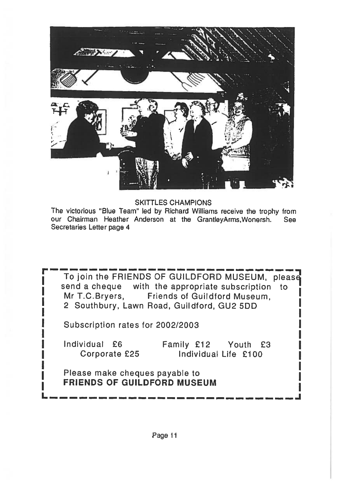

SKITTLES CHAMPIONS

The victorious "Blue Team" led by Richard Williams receive the trophy from our Chairman Heather Anderson at the GrantleyArms,Wonersh. See Secretaries Letter page 4

To join the FRIENDS OF GUILDFORD MUSEUM, please send a cheque with the appropriate subscription to Mr T.C.Bryers, Friends of Guildford Museum, 2 Southbury, Lawn Road, Guildford, GU2 5DD

Subscription rates for 2002/2003

Individual £6 Family £12 Youth £3<br>Corporate £25 Individual Life £100 Individual Life  $£100$ 

Please make cheques payable to FRIENDS OF GUILDFORD MUSEUM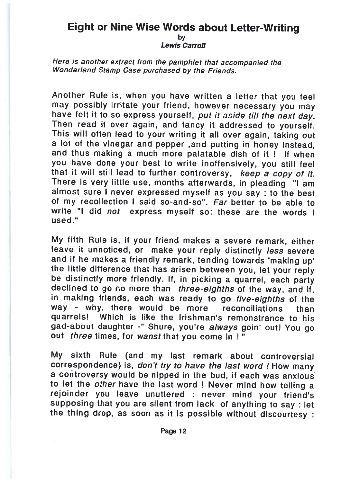#### Eight or Nine Wise Words about Letter-Writing by

**Lewis Carrol** 

Here is another extract from the pamphlet that accompanied the Wonderland Stamp Case purchased by the Friends.

Another Rule is, when you have written <sup>a</sup> letter that you feel may possibly irritate your friend, however necessary you may have felt it to so express yourself, put it aside till the next day Then read it over again, and fancy it addressed to yourself. This will often lead to your writing it all over again, taking ou a lot of the vinegar and pepper ,and putting in honey instead, and thus making a much more palatable dish of it ! If when you have done your best to write inoffensively, you still feel that it will still lead to further controversy, keep a copy of it There is very little use, months afterwards, in <sup>p</sup>leading "I am almost sure I never expressed myself as you say : to the bes of my recollection I said so-and-so". Far better to be able to write "I did not express myself so: these are the words used."

My fifth Rule is, if your friend makes <sup>a</sup> severe remark, either leave it unnoticed, or make your reply distinctly less severe and if he makes a friendly remark, tending towards 'making up'<br>the little difference that has arisen between you, let your repl le little difference that has arisen between you, let your reply be distinctly more friendly. If, in picking a quarrel, each party declined to go no more than *three-eighths* of the way and if ed to go no more than *three-eighths* of the way, and if in making friends, each was ready to go five-eighths of the way - why, there would be more reconciliations than quarrels! Which is like the Irishman's remonstrance to his gad-about daughter -" Shure, you're always goin' out! You go out *three* times, for wanst that you come in

My sixth Rule (and my last remark about controversial correspondence) is, don't try to have the last word ! How many a controversy would be nipped in the bud, if each was anxious to let the other have the last word ! Never mind how telling a rejoinder you leave unuttered : never mind your friend's supposing that you are silent from lack of anything to say : let the thing drop, as soon as it is possible without discourtesy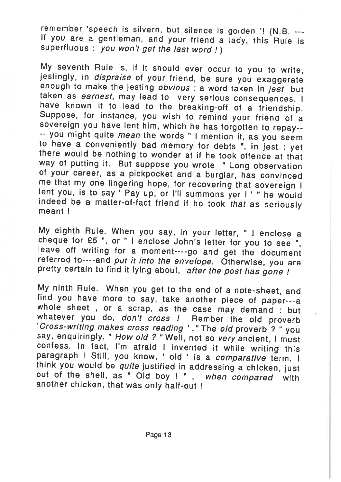remember 'speech is silvern, but silence is golden '! (N.B.  $---$  If you are a gentleman, and your friend a lady, this Rule is superfluous : *vou won't get the last word !* )

My seventh Rule is, if it should ever occur to you to write, jestingly, in *dispraise* of your friend, be sure you exaggerate enough to make the jesting *obvious*: a word taken in *jest* but taken as *earnest*, may lead to to have a conveniently bad memory for debts ", in jest : yet there would be nothing to wonder at if he took offence at that way of putting it. But suppose you wrote " Long observation of your career, as a pickpocket and a burglar, has convinced me that my one lingering hope, for recovering that sovereign I lent you, is to say  $\overline{Y}$  Pay up, or I'll summons yer ! ' " he would indeed be a matter-of-fact friend if he took that as seriously meant I

My eighth Rule. When you say, in your letter, "I enclose a cheque for £5", or "I enclose John's letter for you to see", leave off writing for a moment----go and get the document referred to----and *put it into the envelope* 

My ninth Rule. When you get to the end of a note-sheet, and<br>find you have more to say, take another piece of paper---a<br>whole sheet, or a scrap, as the case may demand : but<br>whatever you do, *don't cross !* Rember the old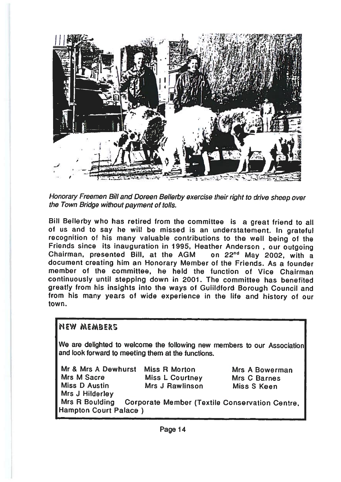

Honorary Freemen Bill and Doreen Bellerby exercise their right to drive sheep over the Town Bridge without paymen<sup>t</sup> of tolls.

Bill Bellerby who has retired from the committee is <sup>a</sup> grea<sup>t</sup> friend to all of us and to say he will be missed is an understatement. In gratefu recognition of his many valuable contributions to the well being of the Friends since its inauguration in 1995, Heather Anderson , our outgoing Chairman, presented Bill, at the AGM on 22<sup>nd</sup> May 2002, with a document creating him an Honorary Member of the Friends. As <sup>a</sup> founder member of the committee, he held the function of Vice Chairmancontinuously until stepping down in 2001. The committee has benefited greatly from his insights into the ways of Guiildford Borough Council and from his many years of wide experience in the life and history of our town.

#### MEW MEMBERS

We are delighted to welcome the following new members to our Association and look forward to meeting them at the functions.

| Mr & Mrs A Dewhurst   | Miss R Morton          | Mrs A Bowerman                                       |
|-----------------------|------------------------|------------------------------------------------------|
| Mrs M Sacre           | <b>Miss L Courtney</b> | Mrs C Barnes                                         |
| <b>Miss D Austin</b>  | Mrs J Rawlinson        | Miss S Keen                                          |
| Mrs J Hilderley       |                        |                                                      |
| Mrs R Boulding        |                        | <b>Corporate Member (Textile Conservation Centre</b> |
| Hampton Court Palace) |                        |                                                      |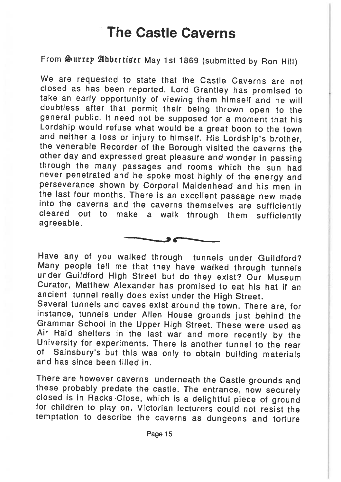# The Castle Caverns

From Surrey Adbertiser May 1st 1869 (submitted by Ron Hill)

We are requested to state that the Castle Caverns are not closed as has been reported. Lord Grantley has promised to take an early opportunity of viewing them himself and he will doubtless after that permit their being thrown open to the deneral public. It need not be supposed for a moment that his Lordship would refuse what would be a great boon to the town and neither a loss or injury to himself. His Lordship's brother. the venerable Recorder of the Borough visited the caverns the other day and expressed great pleasure and wonder in passing through the many passages and rooms which the sun had never penetrated and he spoke most highly of the energy and perseverance shown by Corporal Maidenhead and his men in the last four months. There is an excellent passage new made into the caverns and the caverns themselves are sufficiently cleared out to make a walk through them sufficiently agreeable.



Have any of you walked through tunnels under Guildford?<br>Many people tell me that they have walked through tunnels under Guildford High Street but do they exist? Our Museum Curator, Matthew Alexander has promised to eat his hat if an ancient tunnel really does exist under the High Street.

Several tunnels and caves exist around the town. There are, for instance, tunnels under Allen House grounds just behind the Grammar School in the Upper High Street. These were used as University for experiments. There is another tunnel to the rear of Sainsbury's but this was only to obtain building materials and has since been filled in.

There are however caverns underneath the Castle grounds and<br>these probably predate the castle. The entrance, now securely<br>closed is in Racks Close, which is a delightful piece of ground<br>for children to play on. Victorian l temptation to describe the caverns as dungeons and torture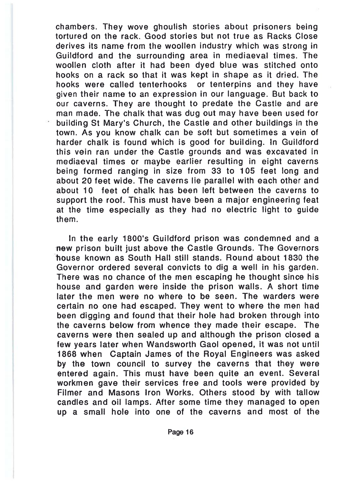chambers. They wove ghoulish stories about prisoners being tortured on the rack. Good stories but not true as Racks Close derives its name from the woollen industry which was strong ir Guildford and the surrounding area in mediaeval times. The woollen cloth after it had been dyed blue was stitched onto hooks on <sup>a</sup> rack so that it was kept in shape as it dried. The hooks were called tenterhooks or tenterpins and they have given their name to an expression in our language. But back to our caverns. They are thought to predate the Castle and are man made. The chalk that was dug out may have been used for building St Mary's Church, the Castle and other buildings in the town. As you know chalk can be soft but sometimes <sup>a</sup> vein of harder chalk is found which is good for building. In Guildford this vein ran under the Castle grounds and was excavated in mediaeval times or maybe earlier resulting in eight caverns being formed ranging in size from 33 to 105 feet long and about 20 feet wide. The caverns lie parallel with each other and about 10 feet of chalk has been left between the caverns to suppor<sup>t</sup> the roof. This must have been <sup>a</sup> major engineering feat at the time especially as they had no electric light to guide them.

In the early 1800's Guiidford prison was condemned and <sup>a</sup> -new prison built just above the Castle Grounds. The Governors Thouse known as South Hall still stands. Round about 1830 the Governor ordered several convicts to dig <sup>a</sup> well in his garden. There was no chance of the men escaping he thought since his house and garden were inside the prison walls. A short time later the men were no where to be seen. The warders were certain no one had escaped. They went to where the men hac been digging and found that their hole had broken through into the caverns below from whence they made their escape. The caverns were then sealed up and although the prison closed <sup>a</sup> few years later when Wandsworth Gaol opened, it was not unti 1868 when Captain James of the Royal Engineers was asked by the town council to survey the caverns that they were entered again. This must have been quite an event. Severa workmen gave their services free and tools were provided by Filmer and Masons Iron Works. Others stood by with tallow candles and oil lamps. After some time they managed to oper up <sup>a</sup> small hole into one of the caverns and most of the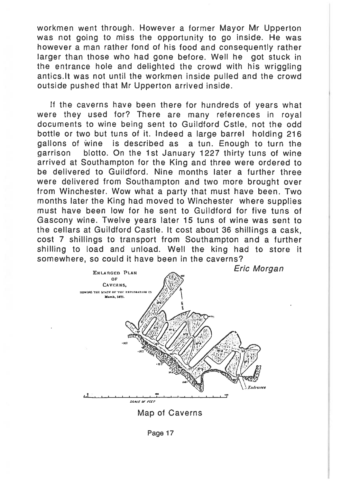workmen went through. However <sup>a</sup> former Mayor Mr Upperton was not going to miss the opportunity to go inside. He was however <sup>a</sup> man rather fond of his food and consequently rather larger than those who had gone before. Well he go<sup>t</sup> stuck in the entrance hole and delighted the crowd with his wriggling antics.lt was not until the workmen inside pulled and the crowd outside pushed that Mr Upperton arrived inside.

If the caverns have been there for hundreds of years what were they used for? There are many references in royal documents to wine being sent to Guildford Cstle, not the odd bottle or two but tuns of it. Indeed <sup>a</sup> large barrel holding 216 gallons of Wine is described as <sup>a</sup> tun. Enough to turn the garrison blotto. On the 1St January 1227 thirty tuns of wine arrived at Southampton for the King and three were ordered to be delivered to Guildford. Nine months later <sup>a</sup> further three were delivered from Southampton and two more brought over from Winchester. Wow what <sup>a</sup> party that must have been. Two months later the King had moved to Winchester where supplies must have been low for he sent to Guildford for five tuns of Gascony wine. Twelve years later 15 tuns of wine was sent to the cellars at Guildford Castle. It cost about 36 shillings <sup>a</sup> cask, cost 7 shillings to transport from Southampton and <sup>a</sup> further shilling to load and unload. Well the king had to store it somewhere, so could it have been in the caverns?



Map of Caverns

Page 17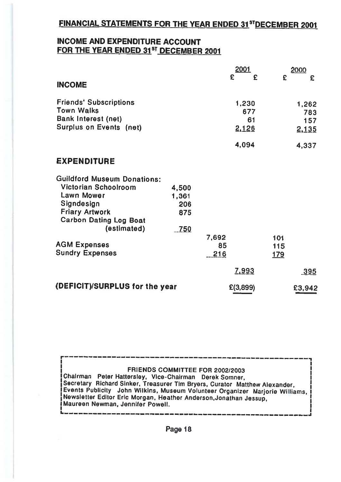#### FINANCIAL STATEMENTS FOR THE YEAR ENDED 31STDECEMBER 2001

#### INCOME AND EXPENDITURE ACCOUNTFOR THE YEAR ENDED 31<sup>st</sup> DECEMBER 2001

|                                                    |              |                    | 2001         |                   | 2000         |
|----------------------------------------------------|--------------|--------------------|--------------|-------------------|--------------|
| <b>INCOME</b>                                      |              |                    | £<br>£       | £                 | £            |
| <b>Friends' Subscriptions</b><br><b>Town Walks</b> |              |                    | 1,230<br>677 |                   | 1,262<br>783 |
| Bank Interest (net)<br>Surplus on Events (net)     |              |                    | 61<br>2,126  |                   | 157<br>2.135 |
|                                                    |              |                    | 4,094        |                   | 4,337        |
| <b>EXPENDITURE</b>                                 |              |                    |              |                   |              |
| <b>Guildford Museum Donations:</b>                 |              |                    |              |                   |              |
| Victorian Schoolroom<br>Lawn Mower                 | 4,500        |                    |              |                   |              |
| Signdesign                                         | 1,361<br>206 |                    |              |                   |              |
| <b>Friary Artwork</b><br>Carbon Dating Log Boat    | 875          |                    |              |                   |              |
| (estimated)                                        | 750          |                    |              |                   |              |
| <b>AGM Expenses</b><br><b>Sundry Expenses</b>      |              | 7,692<br>85<br>216 |              | 101<br>115<br>179 |              |
|                                                    |              |                    | <u>7,993</u> |                   | <u>-395</u>  |
|                                                    |              |                    |              |                   |              |
| (DEFICIT)/SURPLUS for the year                     |              |                    | E(3,899)     |                   | £3,942       |

FRIENDS COMMITTEE FOR 2002/2003

r——

I.

IChalrman Peter Hattersley, Vice-Chairman Derek Somner, Secretary Richard Sinker, Treasurer Tim Bryers, Curator Matthew Alexander, I Events Publicity . John Wilkins, Museum Volunteer Organizer, Mariorie Williams. . | Events Publicity - John Wilkins, Museum Volunteer Organizer - Marjorie Williams, I<br>| Newsletter Editor Eric Morgan, Heather Anderson,Jonathan Jessup,<br>| Maureen Newman, Jennifer Powell, IMAUREEN Jesup, IMAureen Newman, Je Maureen Newman, Jennifer Powell.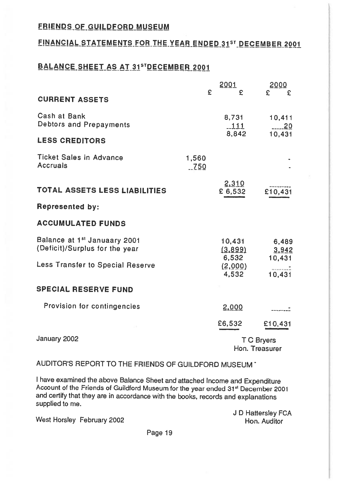#### FRIENDS OF GUILDFORD MUSEUM

#### FINANCIAL STATEMENTS FOR THE YEAR ENDED 31ST DECEMBER 2001

#### BALANCE SHEET AS AT 31STDECEMBER 2001

|                                                                            | £             | 2001<br>£                  | 2000<br>£<br>£               |
|----------------------------------------------------------------------------|---------------|----------------------------|------------------------------|
| <b>CURRENT ASSETS</b>                                                      |               |                            |                              |
| Cash at Bank<br>Debtors and Prepayments                                    |               | 8,731<br>$-111$            | 10.411<br>20                 |
| <b>LESS CREDITORS</b>                                                      |               | 8,842                      | 10,431                       |
| Ticket Sales in Advance<br>Accruals                                        | 1,560<br>.750 |                            |                              |
| <b>TOTAL ASSETS LESS LIABILITIES</b>                                       |               | 2,310<br>£ 6,532           | £10,431                      |
| <b>Represented by:</b>                                                     |               |                            |                              |
| <b>ACCUMULATED FUNDS</b>                                                   |               |                            |                              |
| Balance at 1 <sup>st</sup> Januaary 2001<br>(Deficit)/Surplus for the year |               | 10.431<br>(3,899)<br>6,532 | 6,489<br>3,942<br>10,431     |
| Less Transfer to Special Reserve                                           |               | (2,000)<br>4,532           | 10,431                       |
| <b>SPECIAL RESERVE FUND</b>                                                |               |                            |                              |
| Provision for contingencies                                                |               | 2,000                      |                              |
|                                                                            |               | £6,532                     | £10,431                      |
| January 2002                                                               |               |                            | T C Bryers<br>Hon. Treasurer |

AUDITOR'S REPORT TO THE FRIENDS OF GUILDFORD MUSEUM \*

I have examined the above Balance Sheet and attached Income and Expenditure<br>Account of the Friends of Guildford Museum for the year ended 31<sup>st</sup> December 2001 and certify that they are in accordance with the books, records and explanations supplied to me.

<sup>J</sup> <sup>D</sup> Hattersley FCA West Horsley February <sup>2002</sup> Hon. Auditor